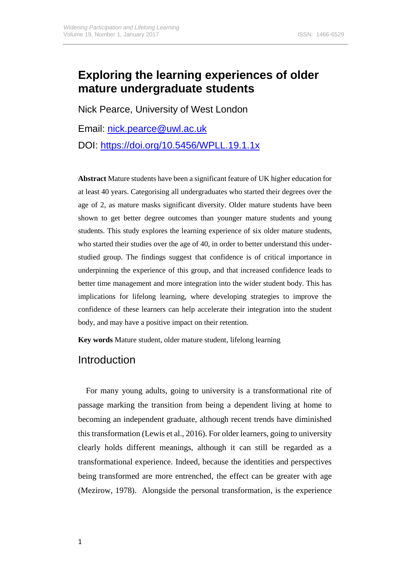# **Exploring the learning experiences of older mature undergraduate students**

Nick Pearce, University of West London

Email: [nick.pearce@uwl.ac.uk](mailto:nick.pearce@uwl.ac.uk)

DOI:<https://doi.org/10.5456/WPLL.19.1.1x>

**Abstract** Mature students have been a significant feature of UK higher education for at least 40 years. Categorising all undergraduates who started their degrees over the age of 2, as mature masks significant diversity. Older mature students have been shown to get better degree outcomes than younger mature students and young students. This study explores the learning experience of six older mature students, who started their studies over the age of 40, in order to better understand this understudied group. The findings suggest that confidence is of critical importance in underpinning the experience of this group, and that increased confidence leads to better time management and more integration into the wider student body. This has implications for lifelong learning, where developing strategies to improve the confidence of these learners can help accelerate their integration into the student body, and may have a positive impact on their retention.

**Key words** Mature student, older mature student, lifelong learning

## Introduction

For many young adults, going to university is a transformational rite of passage marking the transition from being a dependent living at home to becoming an independent graduate, although recent trends have diminished this transformation (Lewis et al., 2016). For older learners, going to university clearly holds different meanings, although it can still be regarded as a transformational experience. Indeed, because the identities and perspectives being transformed are more entrenched, the effect can be greater with age (Mezirow, 1978). Alongside the personal transformation, is the experience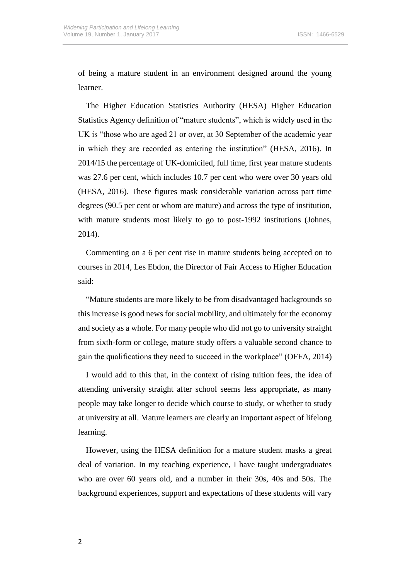of being a mature student in an environment designed around the young learner.

The Higher Education Statistics Authority (HESA) Higher Education Statistics Agency definition of "mature students", which is widely used in the UK is "those who are aged 21 or over, at 30 September of the academic year in which they are recorded as entering the institution" (HESA, 2016). In 2014/15 the percentage of UK-domiciled, full time, first year mature students was 27.6 per cent, which includes 10.7 per cent who were over 30 years old (HESA, 2016). These figures mask considerable variation across part time degrees (90.5 per cent or whom are mature) and across the type of institution, with mature students most likely to go to post-1992 institutions (Johnes, 2014).

Commenting on a 6 per cent rise in mature students being accepted on to courses in 2014, Les Ebdon, the Director of Fair Access to Higher Education said:

"Mature students are more likely to be from disadvantaged backgrounds so this increase is good news for social mobility, and ultimately for the economy and society as a whole. For many people who did not go to university straight from sixth-form or college, mature study offers a valuable second chance to gain the qualifications they need to succeed in the workplace" (OFFA, 2014)

I would add to this that, in the context of rising tuition fees, the idea of attending university straight after school seems less appropriate, as many people may take longer to decide which course to study, or whether to study at university at all. Mature learners are clearly an important aspect of lifelong learning.

However, using the HESA definition for a mature student masks a great deal of variation. In my teaching experience, I have taught undergraduates who are over 60 years old, and a number in their 30s, 40s and 50s. The background experiences, support and expectations of these students will vary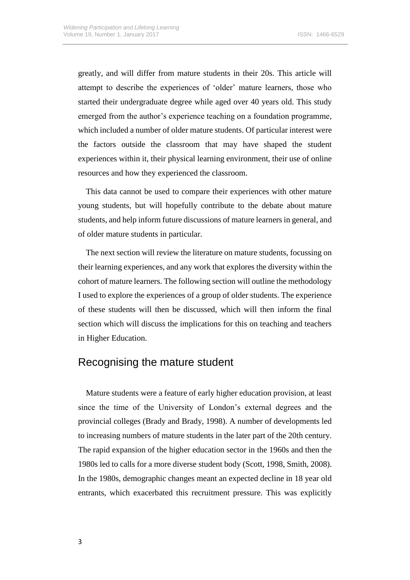greatly, and will differ from mature students in their 20s. This article will attempt to describe the experiences of 'older' mature learners, those who started their undergraduate degree while aged over 40 years old. This study emerged from the author's experience teaching on a foundation programme, which included a number of older mature students. Of particular interest were the factors outside the classroom that may have shaped the student experiences within it, their physical learning environment, their use of online resources and how they experienced the classroom.

This data cannot be used to compare their experiences with other mature young students, but will hopefully contribute to the debate about mature students, and help inform future discussions of mature learners in general, and of older mature students in particular.

The next section will review the literature on mature students, focussing on their learning experiences, and any work that explores the diversity within the cohort of mature learners. The following section will outline the methodology I used to explore the experiences of a group of older students. The experience of these students will then be discussed, which will then inform the final section which will discuss the implications for this on teaching and teachers in Higher Education.

### Recognising the mature student

Mature students were a feature of early higher education provision, at least since the time of the University of London's external degrees and the provincial colleges (Brady and Brady, 1998). A number of developments led to increasing numbers of mature students in the later part of the 20th century. The rapid expansion of the higher education sector in the 1960s and then the 1980s led to calls for a more diverse student body (Scott, 1998, Smith, 2008). In the 1980s, demographic changes meant an expected decline in 18 year old entrants, which exacerbated this recruitment pressure. This was explicitly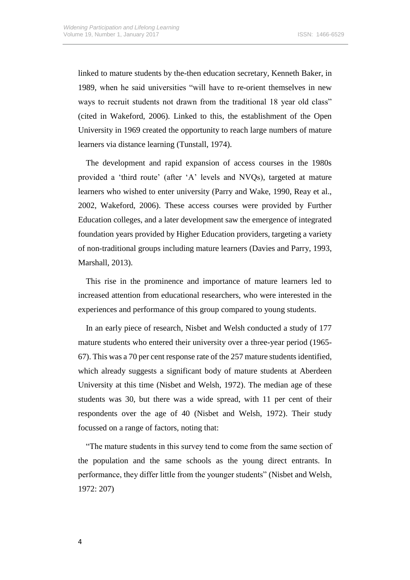linked to mature students by the-then education secretary, Kenneth Baker, in 1989, when he said universities "will have to re-orient themselves in new ways to recruit students not drawn from the traditional 18 year old class" (cited in Wakeford, 2006). Linked to this, the establishment of the Open University in 1969 created the opportunity to reach large numbers of mature learners via distance learning (Tunstall, 1974).

The development and rapid expansion of access courses in the 1980s provided a 'third route' (after 'A' levels and NVQs), targeted at mature learners who wished to enter university (Parry and Wake, 1990, Reay et al., 2002, Wakeford, 2006). These access courses were provided by Further Education colleges, and a later development saw the emergence of integrated foundation years provided by Higher Education providers, targeting a variety of non-traditional groups including mature learners (Davies and Parry, 1993, Marshall, 2013).

This rise in the prominence and importance of mature learners led to increased attention from educational researchers, who were interested in the experiences and performance of this group compared to young students.

In an early piece of research, Nisbet and Welsh conducted a study of 177 mature students who entered their university over a three-year period (1965- 67). This was a 70 per cent response rate of the 257 mature students identified, which already suggests a significant body of mature students at Aberdeen University at this time (Nisbet and Welsh, 1972). The median age of these students was 30, but there was a wide spread, with 11 per cent of their respondents over the age of 40 (Nisbet and Welsh, 1972). Their study focussed on a range of factors, noting that:

"The mature students in this survey tend to come from the same section of the population and the same schools as the young direct entrants. In performance, they differ little from the younger students" (Nisbet and Welsh, 1972: 207)

4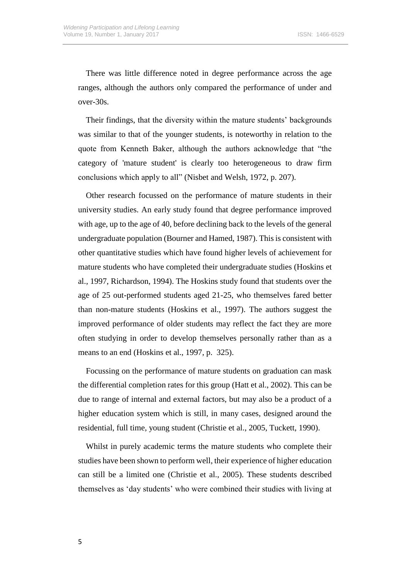There was little difference noted in degree performance across the age ranges, although the authors only compared the performance of under and over-30s.

Their findings, that the diversity within the mature students' backgrounds was similar to that of the younger students, is noteworthy in relation to the quote from Kenneth Baker, although the authors acknowledge that "the category of 'mature student' is clearly too heterogeneous to draw firm conclusions which apply to all" (Nisbet and Welsh, 1972, p. 207).

Other research focussed on the performance of mature students in their university studies. An early study found that degree performance improved with age, up to the age of 40, before declining back to the levels of the general undergraduate population (Bourner and Hamed, 1987). This is consistent with other quantitative studies which have found higher levels of achievement for mature students who have completed their undergraduate studies (Hoskins et al., 1997, Richardson, 1994). The Hoskins study found that students over the age of 25 out-performed students aged 21-25, who themselves fared better than non-mature students (Hoskins et al., 1997). The authors suggest the improved performance of older students may reflect the fact they are more often studying in order to develop themselves personally rather than as a means to an end (Hoskins et al., 1997, p. 325).

Focussing on the performance of mature students on graduation can mask the differential completion rates for this group (Hatt et al., 2002). This can be due to range of internal and external factors, but may also be a product of a higher education system which is still, in many cases, designed around the residential, full time, young student (Christie et al., 2005, Tuckett, 1990).

Whilst in purely academic terms the mature students who complete their studies have been shown to perform well, their experience of higher education can still be a limited one (Christie et al., 2005). These students described themselves as 'day students' who were combined their studies with living at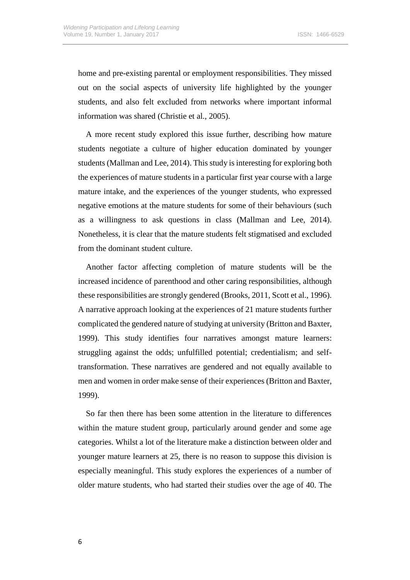home and pre-existing parental or employment responsibilities. They missed out on the social aspects of university life highlighted by the younger students, and also felt excluded from networks where important informal information was shared (Christie et al., 2005).

A more recent study explored this issue further, describing how mature students negotiate a culture of higher education dominated by younger students (Mallman and Lee, 2014). This study is interesting for exploring both the experiences of mature students in a particular first year course with a large mature intake, and the experiences of the younger students, who expressed negative emotions at the mature students for some of their behaviours (such as a willingness to ask questions in class (Mallman and Lee, 2014). Nonetheless, it is clear that the mature students felt stigmatised and excluded from the dominant student culture.

Another factor affecting completion of mature students will be the increased incidence of parenthood and other caring responsibilities, although these responsibilities are strongly gendered (Brooks, 2011, Scott et al., 1996). A narrative approach looking at the experiences of 21 mature students further complicated the gendered nature of studying at university (Britton and Baxter, 1999). This study identifies four narratives amongst mature learners: struggling against the odds; unfulfilled potential; credentialism; and selftransformation. These narratives are gendered and not equally available to men and women in order make sense of their experiences (Britton and Baxter, 1999).

So far then there has been some attention in the literature to differences within the mature student group, particularly around gender and some age categories. Whilst a lot of the literature make a distinction between older and younger mature learners at 25, there is no reason to suppose this division is especially meaningful. This study explores the experiences of a number of older mature students, who had started their studies over the age of 40. The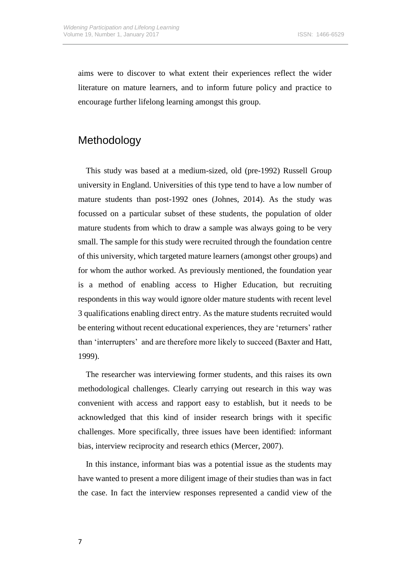aims were to discover to what extent their experiences reflect the wider literature on mature learners, and to inform future policy and practice to encourage further lifelong learning amongst this group.

## Methodology

This study was based at a medium-sized, old (pre-1992) Russell Group university in England. Universities of this type tend to have a low number of mature students than post-1992 ones (Johnes, 2014). As the study was focussed on a particular subset of these students, the population of older mature students from which to draw a sample was always going to be very small. The sample for this study were recruited through the foundation centre of this university, which targeted mature learners (amongst other groups) and for whom the author worked. As previously mentioned, the foundation year is a method of enabling access to Higher Education, but recruiting respondents in this way would ignore older mature students with recent level 3 qualifications enabling direct entry. As the mature students recruited would be entering without recent educational experiences, they are 'returners' rather than 'interrupters' and are therefore more likely to succeed (Baxter and Hatt, 1999).

The researcher was interviewing former students, and this raises its own methodological challenges. Clearly carrying out research in this way was convenient with access and rapport easy to establish, but it needs to be acknowledged that this kind of insider research brings with it specific challenges. More specifically, three issues have been identified: informant bias, interview reciprocity and research ethics (Mercer, 2007).

In this instance, informant bias was a potential issue as the students may have wanted to present a more diligent image of their studies than was in fact the case. In fact the interview responses represented a candid view of the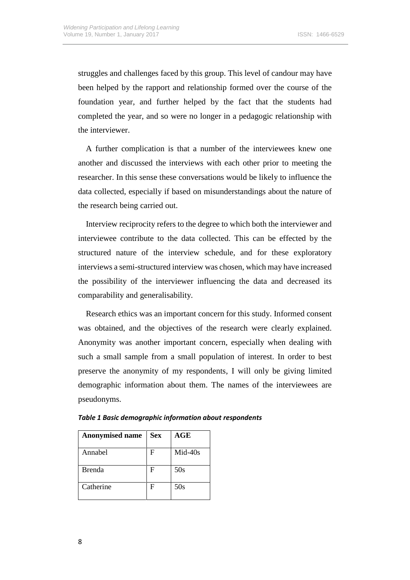struggles and challenges faced by this group. This level of candour may have been helped by the rapport and relationship formed over the course of the foundation year, and further helped by the fact that the students had completed the year, and so were no longer in a pedagogic relationship with the interviewer.

A further complication is that a number of the interviewees knew one another and discussed the interviews with each other prior to meeting the researcher. In this sense these conversations would be likely to influence the data collected, especially if based on misunderstandings about the nature of the research being carried out.

Interview reciprocity refers to the degree to which both the interviewer and interviewee contribute to the data collected. This can be effected by the structured nature of the interview schedule, and for these exploratory interviews a semi-structured interview was chosen, which may have increased the possibility of the interviewer influencing the data and decreased its comparability and generalisability.

Research ethics was an important concern for this study. Informed consent was obtained, and the objectives of the research were clearly explained. Anonymity was another important concern, especially when dealing with such a small sample from a small population of interest. In order to best preserve the anonymity of my respondents, I will only be giving limited demographic information about them. The names of the interviewees are pseudonyms.

| <b>Anonymised name</b> | <b>Sex</b> | $\mathbf{AGE}$ |
|------------------------|------------|----------------|
| Annabel                | F          | Mid-40s        |
| <b>Brenda</b>          | F          | 50s            |
| Catherine              | F          | 50s            |

|  |  | <b>Table 1 Basic demographic information about respondents</b> |  |  |  |  |  |
|--|--|----------------------------------------------------------------|--|--|--|--|--|
|--|--|----------------------------------------------------------------|--|--|--|--|--|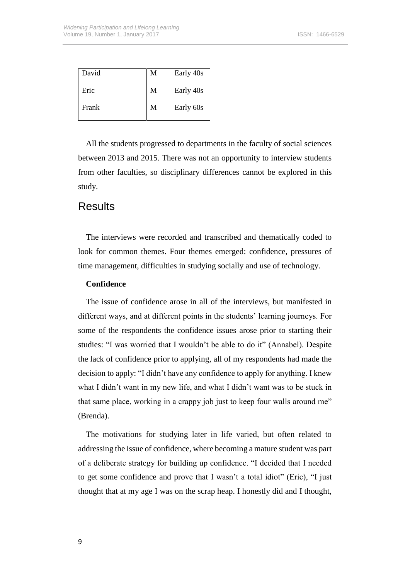| David | M | Early 40s |
|-------|---|-----------|
| Eric  | M | Early 40s |
| Frank | M | Early 60s |

All the students progressed to departments in the faculty of social sciences between 2013 and 2015. There was not an opportunity to interview students from other faculties, so disciplinary differences cannot be explored in this study.

### **Results**

The interviews were recorded and transcribed and thematically coded to look for common themes. Four themes emerged: confidence, pressures of time management, difficulties in studying socially and use of technology.

#### **Confidence**

The issue of confidence arose in all of the interviews, but manifested in different ways, and at different points in the students' learning journeys. For some of the respondents the confidence issues arose prior to starting their studies: "I was worried that I wouldn't be able to do it" (Annabel). Despite the lack of confidence prior to applying, all of my respondents had made the decision to apply: "I didn't have any confidence to apply for anything. I knew what I didn't want in my new life, and what I didn't want was to be stuck in that same place, working in a crappy job just to keep four walls around me" (Brenda).

The motivations for studying later in life varied, but often related to addressing the issue of confidence, where becoming a mature student was part of a deliberate strategy for building up confidence. "I decided that I needed to get some confidence and prove that I wasn't a total idiot" (Eric), "I just thought that at my age I was on the scrap heap. I honestly did and I thought,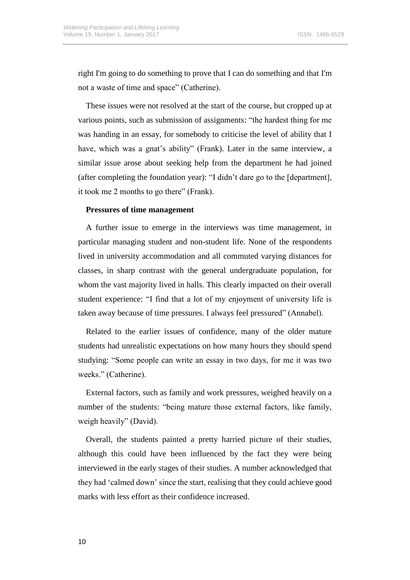right I'm going to do something to prove that I can do something and that I'm not a waste of time and space" (Catherine).

These issues were not resolved at the start of the course, but cropped up at various points, such as submission of assignments: "the hardest thing for me was handing in an essay, for somebody to criticise the level of ability that I have, which was a gnat's ability" (Frank). Later in the same interview, a similar issue arose about seeking help from the department he had joined (after completing the foundation year): "I didn't dare go to the [department], it took me 2 months to go there" (Frank).

#### **Pressures of time management**

A further issue to emerge in the interviews was time management, in particular managing student and non-student life. None of the respondents lived in university accommodation and all commuted varying distances for classes, in sharp contrast with the general undergraduate population, for whom the vast majority lived in halls. This clearly impacted on their overall student experience: "I find that a lot of my enjoyment of university life is taken away because of time pressures. I always feel pressured" (Annabel).

Related to the earlier issues of confidence, many of the older mature students had unrealistic expectations on how many hours they should spend studying: "Some people can write an essay in two days, for me it was two weeks." (Catherine).

External factors, such as family and work pressures, weighed heavily on a number of the students: "being mature those external factors, like family, weigh heavily" (David).

Overall, the students painted a pretty harried picture of their studies, although this could have been influenced by the fact they were being interviewed in the early stages of their studies. A number acknowledged that they had 'calmed down' since the start, realising that they could achieve good marks with less effort as their confidence increased.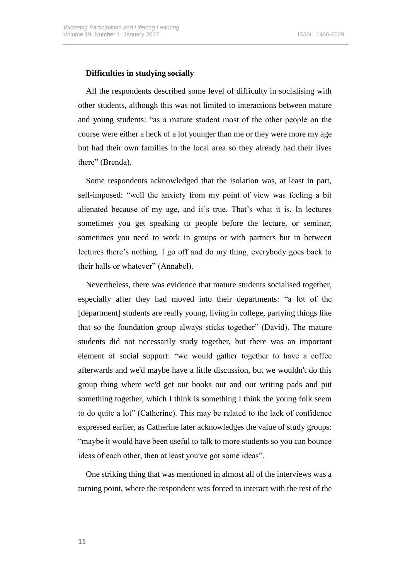#### **Difficulties in studying socially**

All the respondents described some level of difficulty in socialising with other students, although this was not limited to interactions between mature and young students: "as a mature student most of the other people on the course were either a heck of a lot younger than me or they were more my age but had their own families in the local area so they already had their lives there" (Brenda).

Some respondents acknowledged that the isolation was, at least in part, self-imposed: "well the anxiety from my point of view was feeling a bit alienated because of my age, and it's true. That's what it is. In lectures sometimes you get speaking to people before the lecture, or seminar, sometimes you need to work in groups or with partners but in between lectures there's nothing. I go off and do my thing, everybody goes back to their halls or whatever" (Annabel).

Nevertheless, there was evidence that mature students socialised together, especially after they had moved into their departments: "a lot of the [department] students are really young, living in college, partying things like that so the foundation group always sticks together" (David). The mature students did not necessarily study together, but there was an important element of social support: "we would gather together to have a coffee afterwards and we'd maybe have a little discussion, but we wouldn't do this group thing where we'd get our books out and our writing pads and put something together, which I think is something I think the young folk seem to do quite a lot" (Catherine). This may be related to the lack of confidence expressed earlier, as Catherine later acknowledges the value of study groups: "maybe it would have been useful to talk to more students so you can bounce ideas of each other, then at least you've got some ideas".

One striking thing that was mentioned in almost all of the interviews was a turning point, where the respondent was forced to interact with the rest of the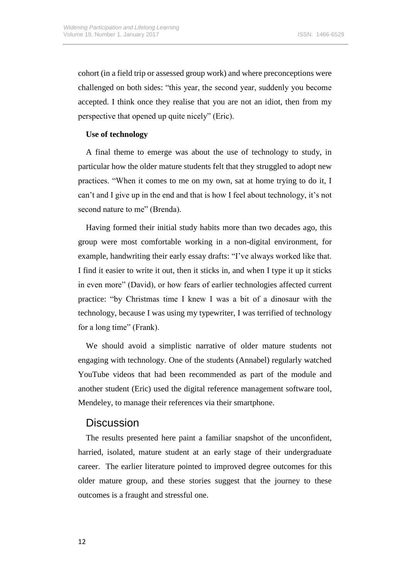cohort (in a field trip or assessed group work) and where preconceptions were challenged on both sides: "this year, the second year, suddenly you become accepted. I think once they realise that you are not an idiot, then from my perspective that opened up quite nicely" (Eric).

#### **Use of technology**

A final theme to emerge was about the use of technology to study, in particular how the older mature students felt that they struggled to adopt new practices. "When it comes to me on my own, sat at home trying to do it, I can't and I give up in the end and that is how I feel about technology, it's not second nature to me" (Brenda).

Having formed their initial study habits more than two decades ago, this group were most comfortable working in a non-digital environment, for example, handwriting their early essay drafts: "I've always worked like that. I find it easier to write it out, then it sticks in, and when I type it up it sticks in even more" (David), or how fears of earlier technologies affected current practice: "by Christmas time I knew I was a bit of a dinosaur with the technology, because I was using my typewriter, I was terrified of technology for a long time" (Frank).

We should avoid a simplistic narrative of older mature students not engaging with technology. One of the students (Annabel) regularly watched YouTube videos that had been recommended as part of the module and another student (Eric) used the digital reference management software tool, Mendeley, to manage their references via their smartphone.

### **Discussion**

The results presented here paint a familiar snapshot of the unconfident, harried, isolated, mature student at an early stage of their undergraduate career. The earlier literature pointed to improved degree outcomes for this older mature group, and these stories suggest that the journey to these outcomes is a fraught and stressful one.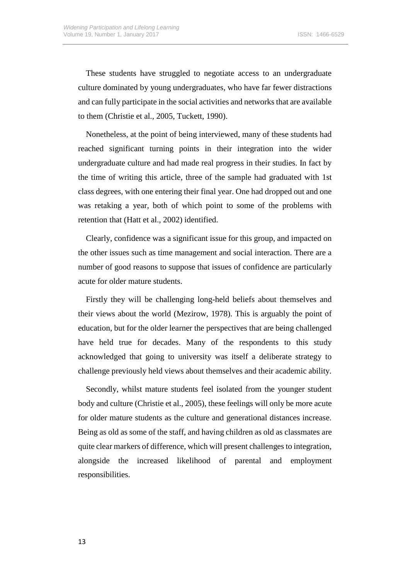These students have struggled to negotiate access to an undergraduate culture dominated by young undergraduates, who have far fewer distractions and can fully participate in the social activities and networks that are available to them (Christie et al., 2005, Tuckett, 1990).

Nonetheless, at the point of being interviewed, many of these students had reached significant turning points in their integration into the wider undergraduate culture and had made real progress in their studies. In fact by the time of writing this article, three of the sample had graduated with 1st class degrees, with one entering their final year. One had dropped out and one was retaking a year, both of which point to some of the problems with retention that (Hatt et al., 2002) identified.

Clearly, confidence was a significant issue for this group, and impacted on the other issues such as time management and social interaction. There are a number of good reasons to suppose that issues of confidence are particularly acute for older mature students.

Firstly they will be challenging long-held beliefs about themselves and their views about the world (Mezirow, 1978). This is arguably the point of education, but for the older learner the perspectives that are being challenged have held true for decades. Many of the respondents to this study acknowledged that going to university was itself a deliberate strategy to challenge previously held views about themselves and their academic ability.

Secondly, whilst mature students feel isolated from the younger student body and culture (Christie et al., 2005), these feelings will only be more acute for older mature students as the culture and generational distances increase. Being as old as some of the staff, and having children as old as classmates are quite clear markers of difference, which will present challenges to integration, alongside the increased likelihood of parental and employment responsibilities.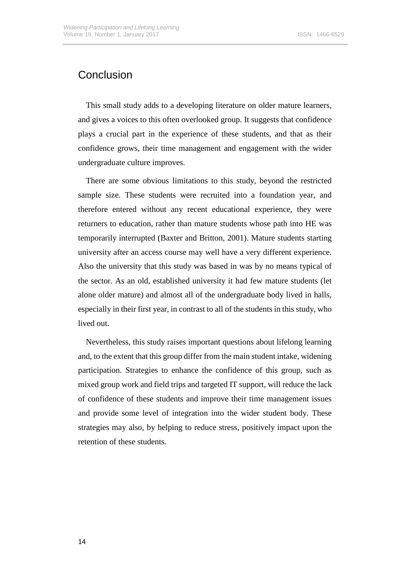# Conclusion

This small study adds to a developing literature on older mature learners, and gives a voices to this often overlooked group. It suggests that confidence plays a crucial part in the experience of these students, and that as their confidence grows, their time management and engagement with the wider undergraduate culture improves.

There are some obvious limitations to this study, beyond the restricted sample size. These students were recruited into a foundation year, and therefore entered without any recent educational experience, they were returners to education, rather than mature students whose path into HE was temporarily interrupted (Baxter and Britton, 2001). Mature students starting university after an access course may well have a very different experience. Also the university that this study was based in was by no means typical of the sector. As an old, established university it had few mature students (let alone older mature) and almost all of the undergraduate body lived in halls, especially in their first year, in contrast to all of the students in this study, who lived out.

Nevertheless, this study raises important questions about lifelong learning and, to the extent that this group differ from the main student intake, widening participation. Strategies to enhance the confidence of this group, such as mixed group work and field trips and targeted IT support, will reduce the lack of confidence of these students and improve their time management issues and provide some level of integration into the wider student body. These strategies may also, by helping to reduce stress, positively impact upon the retention of these students.

14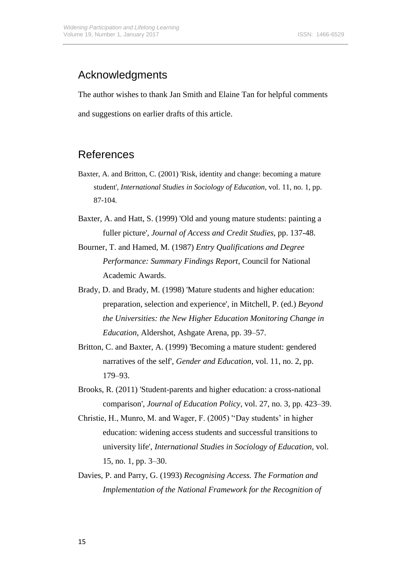# Acknowledgments

The author wishes to thank Jan Smith and Elaine Tan for helpful comments and suggestions on earlier drafts of this article.

## References

- Baxter, A. and Britton, C. (2001) 'Risk, identity and change: becoming a mature student', *International Studies in Sociology of Education*, vol. 11, no. 1, pp. 87-104.
- Baxter, A. and Hatt, S. (1999) 'Old and young mature students: painting a fuller picture', *Journal of Access and Credit Studies*, pp. 137-48.
- Bourner, T. and Hamed, M. (1987) *Entry Qualifications and Degree Performance: Summary Findings Report*, Council for National Academic Awards.
- Brady, D. and Brady, M. (1998) 'Mature students and higher education: preparation, selection and experience', in Mitchell, P. (ed.) *Beyond the Universities: the New Higher Education Monitoring Change in Education*, Aldershot, Ashgate Arena, pp. 39–57.
- Britton, C. and Baxter, A. (1999) 'Becoming a mature student: gendered narratives of the self', *Gender and Education*, vol. 11, no. 2, pp. 179–93.
- Brooks, R. (2011) 'Student-parents and higher education: a cross-national comparison', *Journal of Education Policy*, vol. 27, no. 3, pp. 423–39.
- Christie, H., Munro, M. and Wager, F. (2005) ''Day students' in higher education: widening access students and successful transitions to university life', *International Studies in Sociology of Education*, vol. 15, no. 1, pp. 3–30.
- Davies, P. and Parry, G. (1993) *Recognising Access. The Formation and Implementation of the National Framework for the Recognition of*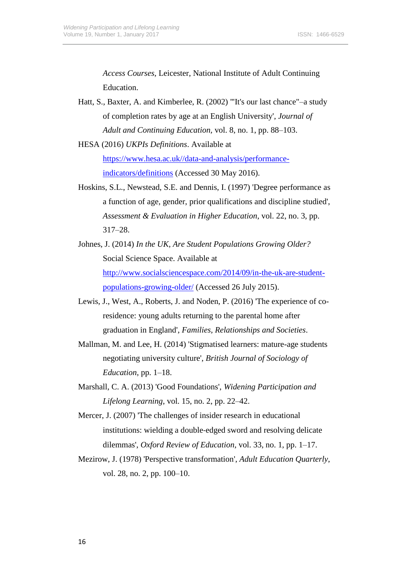*Access Courses*, Leicester, National Institute of Adult Continuing Education.

- Hatt, S., Baxter, A. and Kimberlee, R. (2002) '''It's our last chance"–a study of completion rates by age at an English University', *Journal of Adult and Continuing Education,* vol. 8, no. 1, pp. 88–103.
- HESA (2016) *UKPIs Definitions*. Available at [https://www.hesa.ac.uk//data-and-analysis/performance](https://www.hesa.ac.uk/data-and-analysis/performance-indicators/definitions)[indicators/definitions](https://www.hesa.ac.uk/data-and-analysis/performance-indicators/definitions) (Accessed 30 May 2016).
- Hoskins, S.L., Newstead, S.E. and Dennis, I. (1997) 'Degree performance as a function of age, gender, prior qualifications and discipline studied', *Assessment & Evaluation in Higher Education*, vol. 22, no. 3, pp. 317–28.
- Johnes, J. (2014) *In the UK, Are Student Populations Growing Older?* Social Science Space. Available at [http://www.socialsciencespace.com/2014/09/in-the-uk-are-student](http://www.socialsciencespace.com/2014/09/in-the-uk-are-student-populations-growing-older/)[populations-growing-older/](http://www.socialsciencespace.com/2014/09/in-the-uk-are-student-populations-growing-older/) (Accessed 26 July 2015).
- Lewis, J., West, A., Roberts, J. and Noden, P. (2016) 'The experience of coresidence: young adults returning to the parental home after graduation in England', *Families, Relationships and Societies*.
- Mallman, M. and Lee, H. (2014) 'Stigmatised learners: mature-age students negotiating university culture', *British Journal of Sociology of Education*, pp. 1–18.
- Marshall, C. A. (2013) 'Good Foundations', *Widening Participation and Lifelong Learning*, vol. 15, no. 2, pp. 22–42.
- Mercer, J. (2007) 'The challenges of insider research in educational institutions: wielding a double‐edged sword and resolving delicate dilemmas', *Oxford Review of Education*, vol. 33, no. 1, pp. 1–17.
- Mezirow, J. (1978) 'Perspective transformation', *Adult Education Quarterly*, vol. 28, no. 2, pp. 100–10.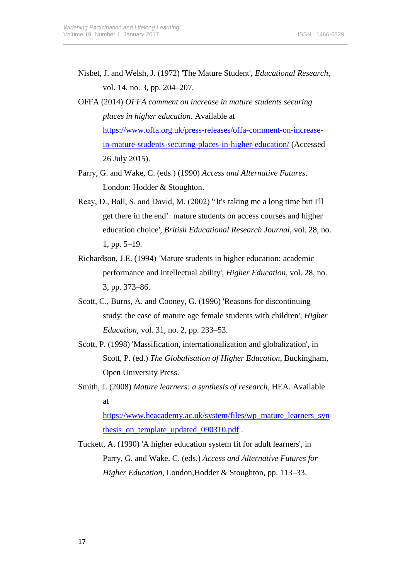- Nisbet, J. and Welsh, J. (1972) 'The Mature Student', *Educational Research*, vol. 14, no. 3, pp. 204–207.
- OFFA (2014) *OFFA comment on increase in mature students securing places in higher education*. Available at [https://www.offa.org.uk/press-releases/offa-comment-on-increase](https://www.offa.org.uk/press-releases/offa-comment-on-increase-in-mature-students-securing-places-in-higher-education/)[in-mature-students-securing-places-in-higher-education/](https://www.offa.org.uk/press-releases/offa-comment-on-increase-in-mature-students-securing-places-in-higher-education/) (Accessed 26 July 2015).
- Parry, G. and Wake, C. (eds.) (1990) *Access and Alternative Futures*. London: Hodder & Stoughton.
- Reay, D., Ball, S. and David, M. (2002) ''It's taking me a long time but I'll get there in the end': mature students on access courses and higher education choice', *British Educational Research Journal*, vol. 28, no. 1, pp. 5–19.
- Richardson, J.E. (1994) 'Mature students in higher education: academic performance and intellectual ability', *Higher Education*, vol. 28, no. 3, pp. 373–86.
- Scott, C., Burns, A. and Cooney, G. (1996) 'Reasons for discontinuing study: the case of mature age female students with children', *Higher Education*, vol. 31, no. 2, pp. 233–53.
- Scott, P. (1998) 'Massification, internationalization and globalization', in Scott, P. (ed.) *The Globalisation of Higher Education*, Buckingham, Open University Press.
- Smith, J. (2008) *Mature learners: a synthesis of research,* HEA. Available at

[https://www.heacademy.ac.uk/system/files/wp\\_mature\\_learners\\_syn](https://www.heacademy.ac.uk/system/files/wp_mature_learners_synthesis_on_template_updated_090310.pdf) thesis on template updated 090310.pdf.

Tuckett, A. (1990) 'A higher education system fit for adult learners', in Parry, G. and Wake. C. (eds.) *Access and Alternative Futures for Higher Education,* London,Hodder & Stoughton, pp. 113–33.